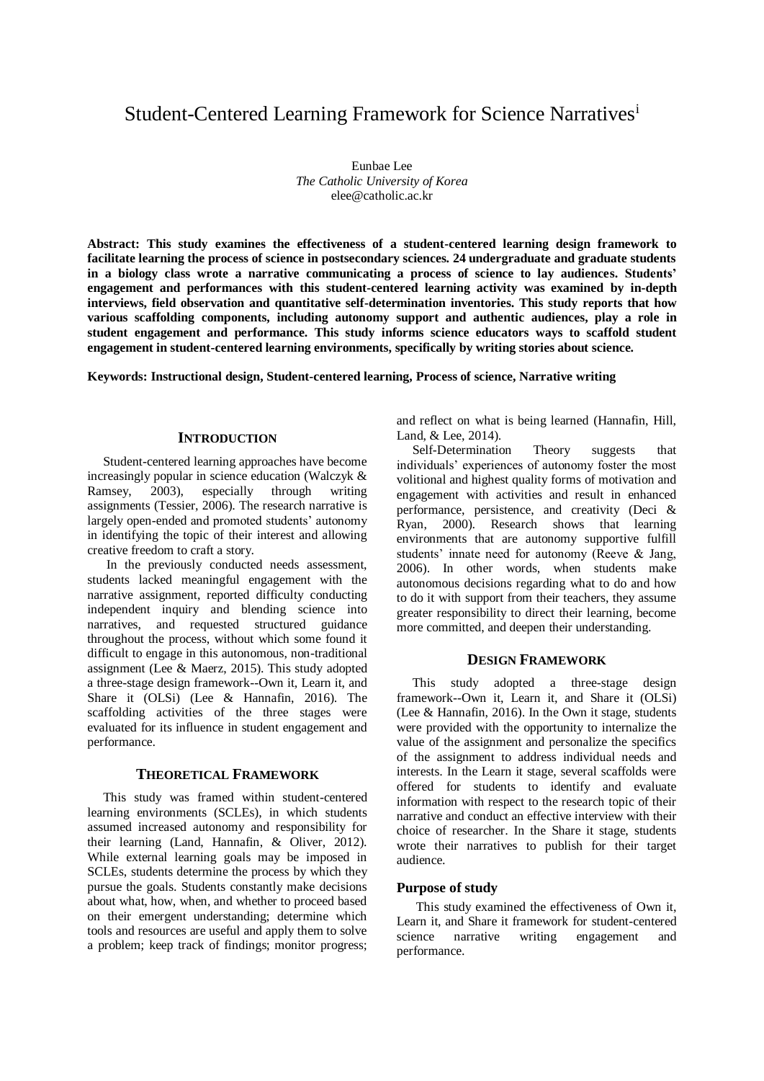# Student-Centered Learning Framework for Science Narratives<sup>i</sup>

Eunbae Lee *The Catholic University of Korea* elee@catholic.ac.kr

**Abstract: This study examines the effectiveness of a student-centered learning design framework to facilitate learning the process of science in postsecondary sciences. 24 undergraduate and graduate students in a biology class wrote a narrative communicating a process of science to lay audiences. Students' engagement and performances with this student-centered learning activity was examined by in-depth interviews, field observation and quantitative self-determination inventories. This study reports that how various scaffolding components, including autonomy support and authentic audiences, play a role in student engagement and performance. This study informs science educators ways to scaffold student engagement in student-centered learning environments, specifically by writing stories about science.**

**Keywords: Instructional design, Student-centered learning, Process of science, Narrative writing**

## **INTRODUCTION**

Student-centered learning approaches have become increasingly popular in science education (Walczyk & Ramsey, 2003), especially through writing assignments (Tessier, 2006). The research narrative is largely open-ended and promoted students' autonomy in identifying the topic of their interest and allowing creative freedom to craft a story.

In the previously conducted needs assessment, students lacked meaningful engagement with the narrative assignment, reported difficulty conducting independent inquiry and blending science into narratives, and requested structured guidance throughout the process, without which some found it difficult to engage in this autonomous, non-traditional assignment (Lee & Maerz, 2015). This study adopted a three-stage design framework--Own it, Learn it, and Share it (OLSi) (Lee & Hannafin, 2016). The scaffolding activities of the three stages were evaluated for its influence in student engagement and performance.

## **THEORETICAL FRAMEWORK**

This study was framed within student-centered learning environments (SCLEs), in which students assumed increased autonomy and responsibility for their learning (Land, Hannafin, & Oliver, 2012). While external learning goals may be imposed in SCLEs, students determine the process by which they pursue the goals. Students constantly make decisions about what, how, when, and whether to proceed based on their emergent understanding; determine which tools and resources are useful and apply them to solve a problem; keep track of findings; monitor progress;

and reflect on what is being learned (Hannafin, Hill, Land, & Lee, 2014).

Self-Determination Theory suggests that individuals' experiences of autonomy foster the most volitional and highest quality forms of motivation and engagement with activities and result in enhanced performance, persistence, and creativity (Deci & Ryan, 2000). Research shows that learning environments that are autonomy supportive fulfill students' innate need for autonomy (Reeve & Jang, 2006). In other words, when students make autonomous decisions regarding what to do and how to do it with support from their teachers, they assume greater responsibility to direct their learning, become more committed, and deepen their understanding.

## **DESIGN FRAMEWORK**

This study adopted a three-stage design framework--Own it, Learn it, and Share it (OLSi) (Lee & Hannafin, 2016). In the Own it stage, students were provided with the opportunity to internalize the value of the assignment and personalize the specifics of the assignment to address individual needs and interests. In the Learn it stage, several scaffolds were offered for students to identify and evaluate information with respect to the research topic of their narrative and conduct an effective interview with their choice of researcher. In the Share it stage, students wrote their narratives to publish for their target audience.

# **Purpose of study**

This study examined the effectiveness of Own it, Learn it, and Share it framework for student-centered science narrative writing engagement and performance.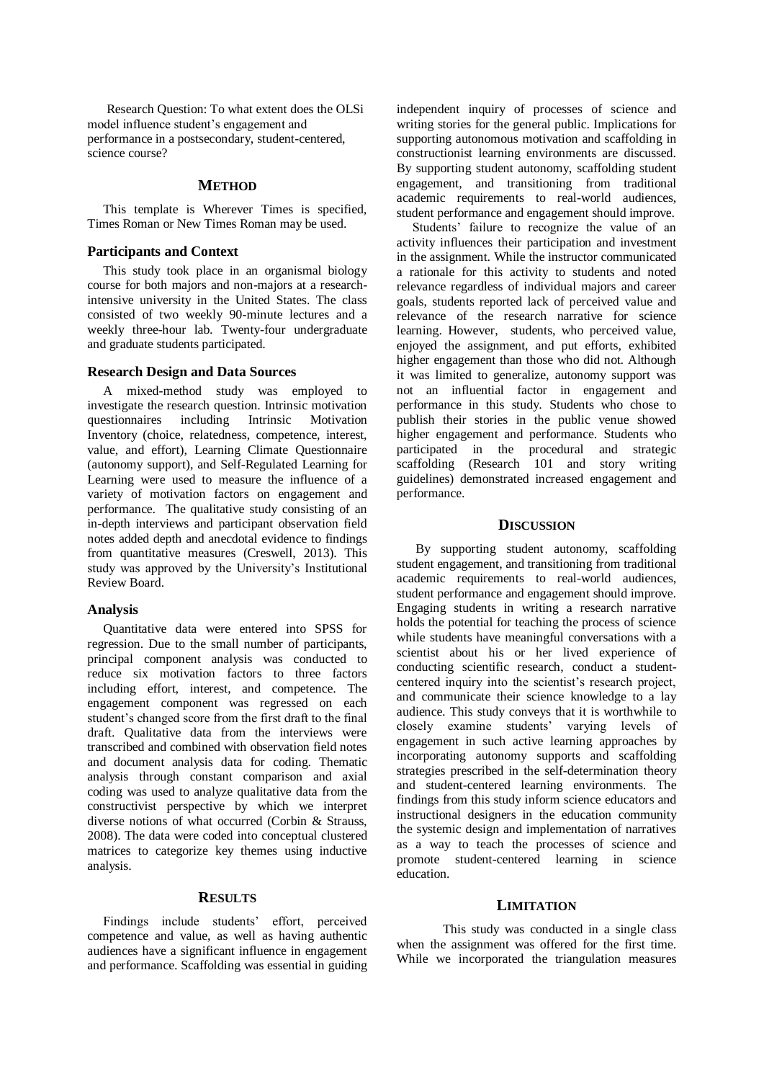Research Question: To what extent does the OLSi model influence student's engagement and performance in a postsecondary, student-centered, science course?

## **METHOD**

This template is Wherever Times is specified, Times Roman or New Times Roman may be used.

## **Participants and Context**

This study took place in an organismal biology course for both majors and non-majors at a researchintensive university in the United States. The class consisted of two weekly 90-minute lectures and a weekly three-hour lab. Twenty-four undergraduate and graduate students participated.

# **Research Design and Data Sources**

A mixed-method study was employed to investigate the research question. Intrinsic motivation questionnaires including Intrinsic Motivation Inventory (choice, relatedness, competence, interest, value, and effort), Learning Climate Questionnaire (autonomy support), and Self-Regulated Learning for Learning were used to measure the influence of a variety of motivation factors on engagement and performance. The qualitative study consisting of an in-depth interviews and participant observation field notes added depth and anecdotal evidence to findings from quantitative measures (Creswell, 2013). This study was approved by the University's Institutional Review Board.

## **Analysis**

Quantitative data were entered into SPSS for regression. Due to the small number of participants, principal component analysis was conducted to reduce six motivation factors to three factors including effort, interest, and competence. The engagement component was regressed on each student's changed score from the first draft to the final draft. Qualitative data from the interviews were transcribed and combined with observation field notes and document analysis data for coding. Thematic analysis through constant comparison and axial coding was used to analyze qualitative data from the constructivist perspective by which we interpret diverse notions of what occurred (Corbin & Strauss, 2008). The data were coded into conceptual clustered matrices to categorize key themes using inductive analysis.

# **RESULTS**

Findings include students' effort, perceived competence and value, as well as having authentic audiences have a significant influence in engagement and performance. Scaffolding was essential in guiding independent inquiry of processes of science and writing stories for the general public. Implications for supporting autonomous motivation and scaffolding in constructionist learning environments are discussed. By supporting student autonomy, scaffolding student engagement, and transitioning from traditional academic requirements to real-world audiences, student performance and engagement should improve.

Students' failure to recognize the value of an activity influences their participation and investment in the assignment. While the instructor communicated a rationale for this activity to students and noted relevance regardless of individual majors and career goals, students reported lack of perceived value and relevance of the research narrative for science learning. However, students, who perceived value, enjoyed the assignment, and put efforts, exhibited higher engagement than those who did not. Although it was limited to generalize, autonomy support was not an influential factor in engagement and performance in this study. Students who chose to publish their stories in the public venue showed higher engagement and performance. Students who participated in the procedural and strategic scaffolding (Research 101 and story writing guidelines) demonstrated increased engagement and performance.

#### **DISCUSSION**

By supporting student autonomy, scaffolding student engagement, and transitioning from traditional academic requirements to real-world audiences, student performance and engagement should improve. Engaging students in writing a research narrative holds the potential for teaching the process of science while students have meaningful conversations with a scientist about his or her lived experience of conducting scientific research, conduct a studentcentered inquiry into the scientist's research project, and communicate their science knowledge to a lay audience. This study conveys that it is worthwhile to closely examine students' varying levels of engagement in such active learning approaches by incorporating autonomy supports and scaffolding strategies prescribed in the self-determination theory and student-centered learning environments. The findings from this study inform science educators and instructional designers in the education community the systemic design and implementation of narratives as a way to teach the processes of science and promote student-centered learning in science education.

## **LIMITATION**

This study was conducted in a single class when the assignment was offered for the first time. While we incorporated the triangulation measures